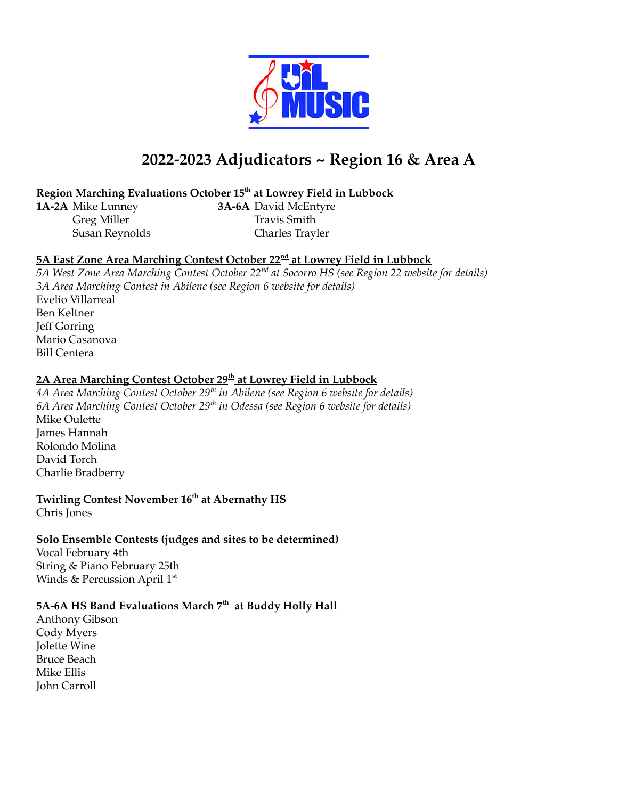

# **2022-2023 Adjudicators ~ Region 16 & Area A**

## **Region Marching Evaluations October 15 th at Lowrey Field in Lubbock**

**1A-2A** Mike Lunney **3A-6A** David McEntyre Greg Miller Travis Smith Susan Reynolds Charles Trayler

## **5A East Zone Area Marching Contest October 22 nd at Lowrey Field in Lubbock**

*5A West Zone Area Marching Contest October 22 nd at Socorro HS (see Region 22 website for details) 3A Area Marching Contest in Abilene (see Region 6 website for details)* Evelio Villarreal Ben Keltner Jeff Gorring Mario Casanova Bill Centera

# **2A Area Marching Contest October 29 th at Lowrey Field in Lubbock**

*4A Area Marching Contest October 29 th in Abilene (see Region 6 website for details) 6A Area Marching Contest October 29 th in Odessa (see Region 6 website for details)* Mike Oulette James Hannah Rolondo Molina David Torch Charlie Bradberry

#### **Twirling Contest November 16 th at Abernathy HS** Chris Jones

#### **Solo Ensemble Contests (judges and sites to be determined)**

Vocal February 4th String & Piano February 25th Winds & Percussion April  $1^{\rm st}$ 

## **5A-6A HS Band Evaluations March 7 th at Buddy Holly Hall**

Anthony Gibson Cody Myers Jolette Wine Bruce Beach Mike Ellis John Carroll